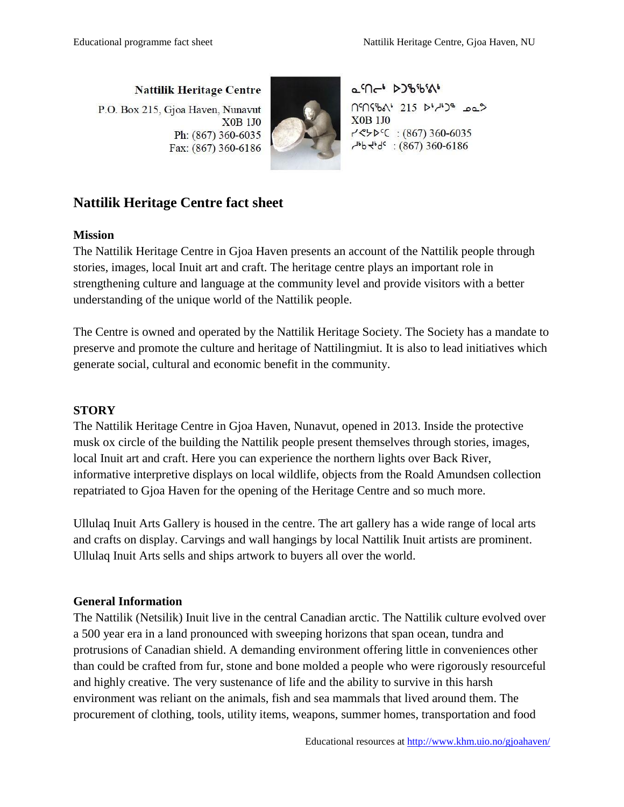**Nattilik Heritage Centre** P.O. Box 215, Gjoa Haven, Nunavut **X0B 1J0** Ph: (867) 360-6035 Fax: (867) 360-6186



a9-1 2366516 n'nsbal 215 bldb38 pp2 **X0B 1J0**  $7$  <  $5$  +  $6$  (  $367$ ) 360-6035  $4^{16}$ b  $4^{16}$ : (867) 360-6186

## **Nattilik Heritage Centre fact sheet**

## **Mission**

The Nattilik Heritage Centre in Gjoa Haven presents an account of the Nattilik people through stories, images, local Inuit art and craft. The heritage centre plays an important role in strengthening culture and language at the community level and provide visitors with a better understanding of the unique world of the Nattilik people.

The Centre is owned and operated by the Nattilik Heritage Society. The Society has a mandate to preserve and promote the culture and heritage of Nattilingmiut. It is also to lead initiatives which generate social, cultural and economic benefit in the community.

## **STORY**

The Nattilik Heritage Centre in Gjoa Haven, Nunavut, opened in 2013. Inside the protective musk ox circle of the building the Nattilik people present themselves through stories, images, local Inuit art and craft. Here you can experience the northern lights over Back River, informative interpretive displays on local wildlife, objects from the Roald Amundsen collection repatriated to Gjoa Haven for the opening of the Heritage Centre and so much more.

Ullulaq Inuit Arts Gallery is housed in the centre. The art gallery has a wide range of local arts and crafts on display. Carvings and wall hangings by local Nattilik Inuit artists are prominent. Ullulaq Inuit Arts sells and ships artwork to buyers all over the world.

## **General Information**

The Nattilik (Netsilik) Inuit live in the central Canadian arctic. The Nattilik culture evolved over a 500 year era in a land pronounced with sweeping horizons that span ocean, tundra and protrusions of Canadian shield. A demanding environment offering little in conveniences other than could be crafted from fur, stone and bone molded a people who were rigorously resourceful and highly creative. The very sustenance of life and the ability to survive in this harsh environment was reliant on the animals, fish and sea mammals that lived around them. The procurement of clothing, tools, utility items, weapons, summer homes, transportation and food